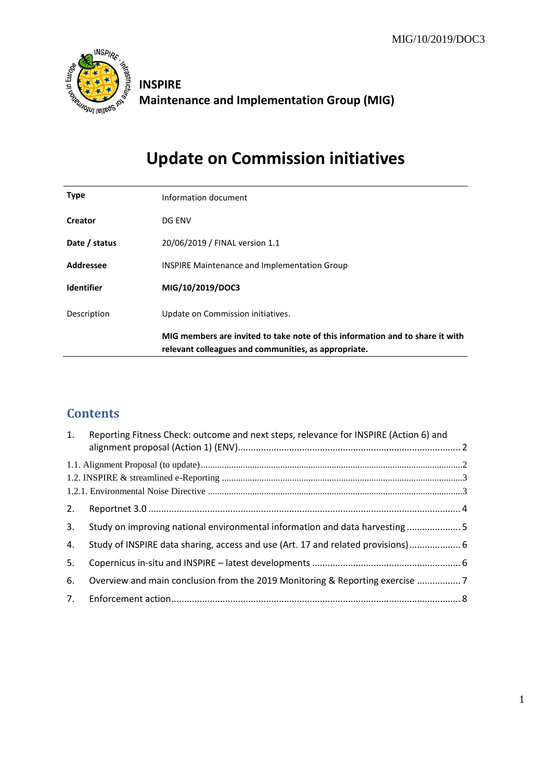

# **INSPIRE Maintenance and Implementation Group (MIG)**

# **Update on Commission initiatives**

| <b>Type</b>       | Information document                                                                                                                  |
|-------------------|---------------------------------------------------------------------------------------------------------------------------------------|
| <b>Creator</b>    | DG ENV                                                                                                                                |
| Date / status     | 20/06/2019 / FINAL version 1.1                                                                                                        |
| Addressee         | <b>INSPIRE Maintenance and Implementation Group</b>                                                                                   |
| <b>Identifier</b> | MIG/10/2019/DOC3                                                                                                                      |
| Description       | Update on Commission initiatives.                                                                                                     |
|                   | MIG members are invited to take note of this information and to share it with<br>relevant colleagues and communities, as appropriate. |

## **Contents**

| 1. | Reporting Fitness Check: outcome and next steps, relevance for INSPIRE (Action 6) and |  |
|----|---------------------------------------------------------------------------------------|--|
|    |                                                                                       |  |
|    |                                                                                       |  |
|    |                                                                                       |  |
| 2. |                                                                                       |  |
| 3. | Study on improving national environmental information and data harvesting  5          |  |
| 4. | Study of INSPIRE data sharing, access and use (Art. 17 and related provisions) 6      |  |
| 5. |                                                                                       |  |
| 6. | Overview and main conclusion from the 2019 Monitoring & Reporting exercise 7          |  |
|    |                                                                                       |  |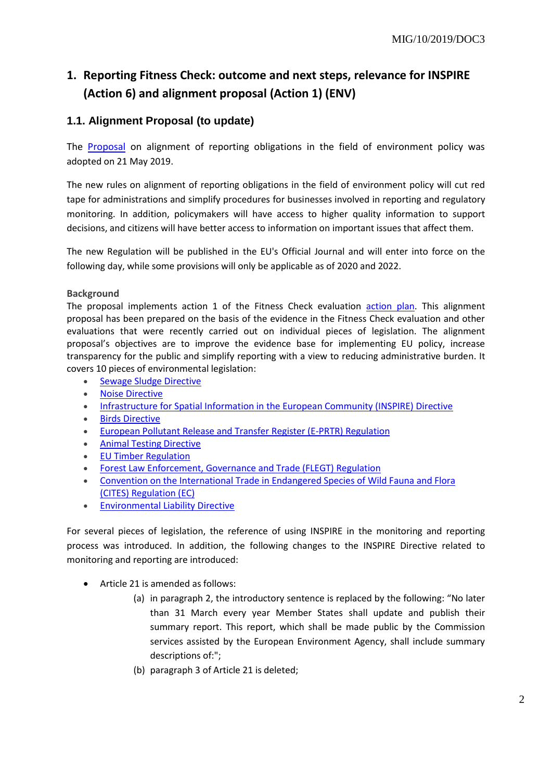# <span id="page-1-0"></span>**1. Reporting Fitness Check: outcome and next steps, relevance for INSPIRE (Action 6) and alignment proposal (Action 1) (ENV)**

## <span id="page-1-1"></span>**1.1. Alignment Proposal (to update)**

The [Proposal](http://ec.europa.eu/environment/legal/reporting/pdf/1_EN_ACT_part1.pdf) on alignment of reporting obligations in the field of environment policy was adopted on 21 May 2019.

The new rules on alignment of reporting obligations in the field of environment policy will cut red tape for administrations and simplify procedures for businesses involved in reporting and regulatory monitoring. In addition, policymakers will have access to higher quality information to support decisions, and citizens will have better access to information on important issues that affect them.

The new Regulation will be published in the EU's Official Journal and will enter into force on the following day, while some provisions will only be applicable as of 2020 and 2022.

#### **Background**

The proposal implements action 1 of the Fitness Check evaluation [action plan.](http://ec.europa.eu/environment/legal/reporting/pdf/action_plan_env_issues.pdf) This alignment proposal has been prepared on the basis of the evidence in the Fitness Check evaluation and other evaluations that were recently carried out on individual pieces of legislation. The alignment proposal's objectives are to improve the evidence base for implementing EU policy, increase transparency for the public and simplify reporting with a view to reducing administrative burden. It covers 10 pieces of environmental legislation:

- [Sewage Sludge Directive](https://eur-lex.europa.eu/legal-content/EN/TXT/?uri=CELEX:31986L0278)
- [Noise Directive](https://eur-lex.europa.eu/legal-content/EN/TXT/?uri=celex%3A32002L0049)
- [Infrastructure for Spatial Information in the European Community \(INSPIRE\) Directive](https://eur-lex.europa.eu/legal-content/EN/TXT/?uri=CELEX:32007L0002)
- [Birds Directive](https://eur-lex.europa.eu/legal-content/EN/TXT/?uri=CELEX%3A32009L0147)
- [European Pollutant Release and Transfer Register \(E-PRTR\) Regulation](https://eur-lex.europa.eu/legal-content/EN/ALL/?uri=CELEX:32006R0166)
- [Animal Testing Directive](https://eur-lex.europa.eu/legal-content/EN/TXT/?uri=celex%3A32010L0063)
- [EU Timber Regulation](https://eur-lex.europa.eu/legal-content/EN/TXT/?uri=CELEX:32010R0995)
- [Forest Law Enforcement, Governance and Trade \(FLEGT\) Regulation](https://eur-lex.europa.eu/legal-content/EN/TXT/?uri=CELEX:32005R2173)
- [Convention on the International Trade in Endangered Species of Wild Fauna and Flora](https://eur-lex.europa.eu/legal-content/EN/ALL/?uri=CELEX%3A31997R0338)  [\(CITES\) Regulation \(EC\)](https://eur-lex.europa.eu/legal-content/EN/ALL/?uri=CELEX%3A31997R0338)
- **[Environmental Liability Directive](https://eur-lex.europa.eu/legal-content/EN/TXT/?uri=LEGISSUM%3Al28120)**

For several pieces of legislation, the reference of using INSPIRE in the monitoring and reporting process was introduced. In addition, the following changes to the INSPIRE Directive related to monitoring and reporting are introduced:

- Article 21 is amended as follows:
	- (a) in paragraph 2, the introductory sentence is replaced by the following: "No later than 31 March every year Member States shall update and publish their summary report. This report, which shall be made public by the Commission services assisted by the European Environment Agency, shall include summary descriptions of:";
	- (b) paragraph 3 of Article 21 is deleted;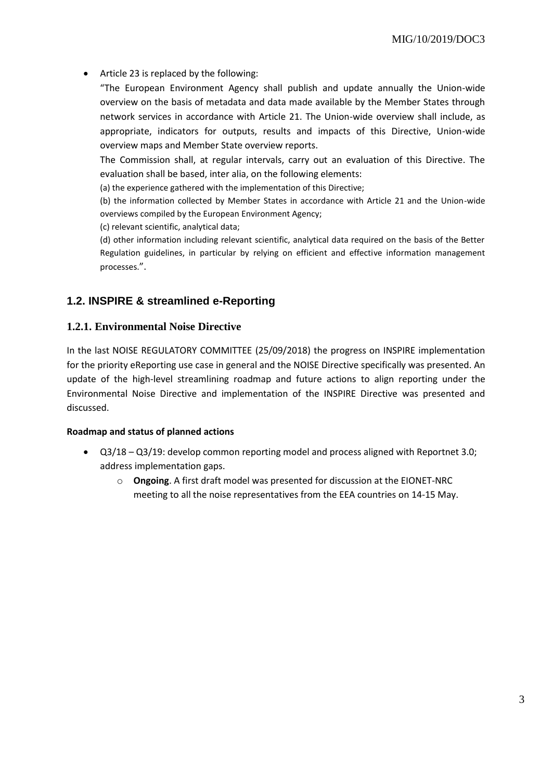Article 23 is replaced by the following:

"The European Environment Agency shall publish and update annually the Union-wide overview on the basis of metadata and data made available by the Member States through network services in accordance with Article 21. The Union-wide overview shall include, as appropriate, indicators for outputs, results and impacts of this Directive, Union-wide overview maps and Member State overview reports.

The Commission shall, at regular intervals, carry out an evaluation of this Directive. The evaluation shall be based, inter alia, on the following elements:

(a) the experience gathered with the implementation of this Directive;

(b) the information collected by Member States in accordance with Article 21 and the Union-wide overviews compiled by the European Environment Agency;

(c) relevant scientific, analytical data;

(d) other information including relevant scientific, analytical data required on the basis of the Better Regulation guidelines, in particular by relying on efficient and effective information management processes.".

### <span id="page-2-0"></span>**1.2. INSPIRE & streamlined e-Reporting**

#### <span id="page-2-1"></span>**1.2.1. Environmental Noise Directive**

In the last NOISE REGULATORY COMMITTEE (25/09/2018) the progress on INSPIRE implementation for the priority eReporting use case in general and the NOISE Directive specifically was presented. An update of the high-level streamlining roadmap and future actions to align reporting under the Environmental Noise Directive and implementation of the INSPIRE Directive was presented and discussed.

#### **Roadmap and status of planned actions**

- Q3/18 Q3/19: develop common reporting model and process aligned with Reportnet 3.0; address implementation gaps.
	- o **Ongoing**. A first draft model was presented for discussion at the EIONET-NRC meeting to all the noise representatives from the EEA countries on 14-15 May.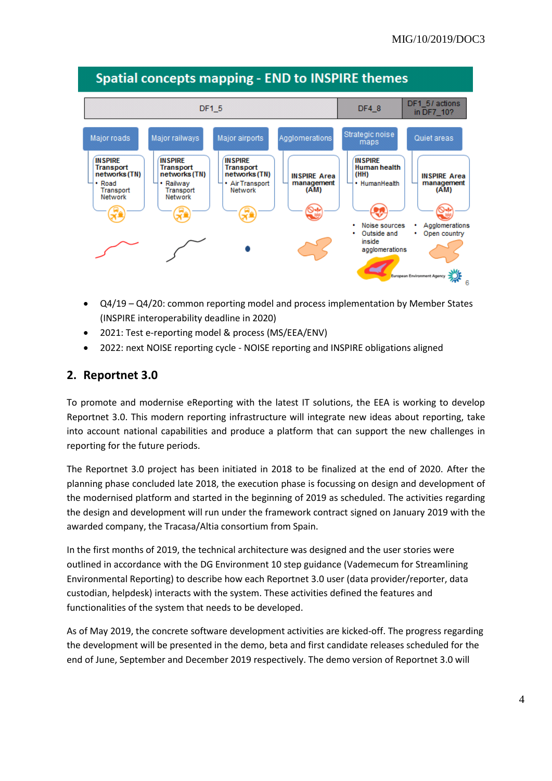

- Q4/19 Q4/20: common reporting model and process implementation by Member States (INSPIRE interoperability deadline in 2020)
- 2021: Test e-reporting model & process (MS/EEA/ENV)
- 2022: next NOISE reporting cycle NOISE reporting and INSPIRE obligations aligned

## <span id="page-3-0"></span>**2. Reportnet 3.0**

To promote and modernise eReporting with the latest IT solutions, the EEA is working to develop Reportnet 3.0. This modern reporting infrastructure will integrate new ideas about reporting, take into account national capabilities and produce a platform that can support the new challenges in reporting for the future periods.

The Reportnet 3.0 project has been initiated in 2018 to be finalized at the end of 2020. After the planning phase concluded late 2018, the execution phase is focussing on design and development of the modernised platform and started in the beginning of 2019 as scheduled. The activities regarding the design and development will run under the framework contract signed on January 2019 with the awarded company, the Tracasa/Altia consortium from Spain.

In the first months of 2019, the technical architecture was designed and the user stories were outlined in accordance with the DG Environment 10 step guidance (Vademecum for Streamlining Environmental Reporting) to describe how each Reportnet 3.0 user (data provider/reporter, data custodian, helpdesk) interacts with the system. These activities defined the features and functionalities of the system that needs to be developed.

As of May 2019, the concrete software development activities are kicked-off. The progress regarding the development will be presented in the demo, beta and first candidate releases scheduled for the end of June, September and December 2019 respectively. The demo version of Reportnet 3.0 will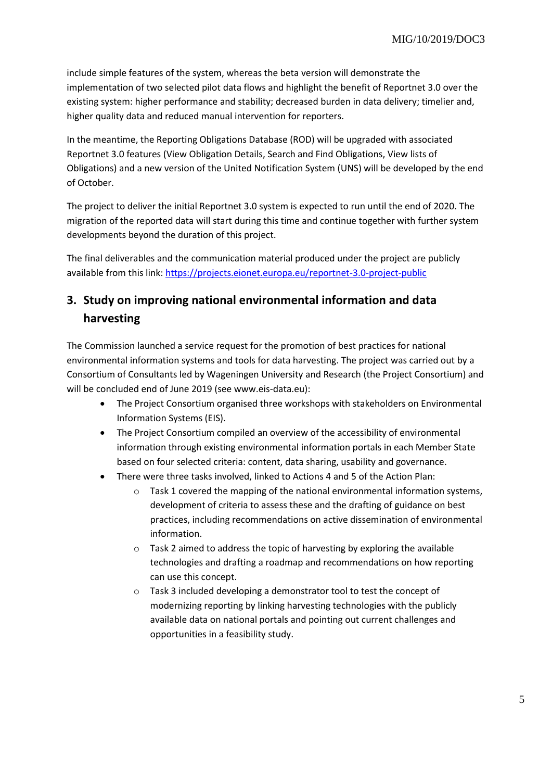include simple features of the system, whereas the beta version will demonstrate the implementation of two selected pilot data flows and highlight the benefit of Reportnet 3.0 over the existing system: higher performance and stability; decreased burden in data delivery; timelier and, higher quality data and reduced manual intervention for reporters.

In the meantime, the Reporting Obligations Database (ROD) will be upgraded with associated Reportnet 3.0 features (View Obligation Details, Search and Find Obligations, View lists of Obligations) and a new version of the United Notification System (UNS) will be developed by the end of October.

The project to deliver the initial Reportnet 3.0 system is expected to run until the end of 2020. The migration of the reported data will start during this time and continue together with further system developments beyond the duration of this project.

The final deliverables and the communication material produced under the project are publicly available from this link:<https://projects.eionet.europa.eu/reportnet-3.0-project-public>

## <span id="page-4-0"></span>**3. Study on improving national environmental information and data harvesting**

The Commission launched a service request for the promotion of best practices for national environmental information systems and tools for data harvesting. The project was carried out by a Consortium of Consultants led by Wageningen University and Research (the Project Consortium) and will be concluded end of June 2019 (see www.eis-data.eu):

- The Project Consortium organised three workshops with stakeholders on Environmental Information Systems (EIS).
- The Project Consortium compiled an overview of the accessibility of environmental information through existing environmental information portals in each Member State based on four selected criteria: content, data sharing, usability and governance.
- There were three tasks involved, linked to Actions 4 and 5 of the Action Plan:
	- o Task 1 covered the mapping of the national environmental information systems, development of criteria to assess these and the drafting of guidance on best practices, including recommendations on active dissemination of environmental information.
	- o Task 2 aimed to address the topic of harvesting by exploring the available technologies and drafting a roadmap and recommendations on how reporting can use this concept.
	- o Task 3 included developing a demonstrator tool to test the concept of modernizing reporting by linking harvesting technologies with the publicly available data on national portals and pointing out current challenges and opportunities in a feasibility study.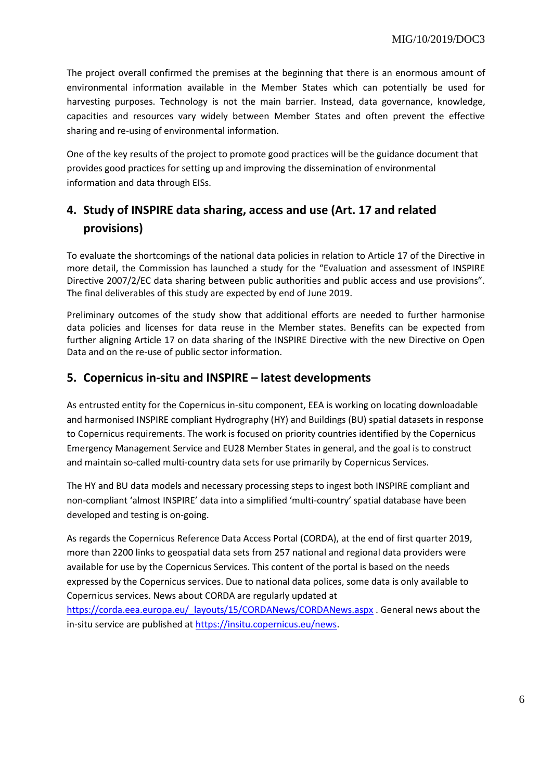The project overall confirmed the premises at the beginning that there is an enormous amount of environmental information available in the Member States which can potentially be used for harvesting purposes. Technology is not the main barrier. Instead, data governance, knowledge, capacities and resources vary widely between Member States and often prevent the effective sharing and re-using of environmental information.

One of the key results of the project to promote good practices will be the guidance document that provides good practices for setting up and improving the dissemination of environmental information and data through EISs.

# <span id="page-5-0"></span>**4. Study of INSPIRE data sharing, access and use (Art. 17 and related provisions)**

To evaluate the shortcomings of the national data policies in relation to Article 17 of the Directive in more detail, the Commission has launched a study for the "Evaluation and assessment of INSPIRE Directive 2007/2/EC data sharing between public authorities and public access and use provisions". The final deliverables of this study are expected by end of June 2019.

Preliminary outcomes of the study show that additional efforts are needed to further harmonise data policies and licenses for data reuse in the Member states. Benefits can be expected from further aligning Article 17 on data sharing of the INSPIRE Directive with the new Directive on Open Data and on the re-use of public sector information.

## <span id="page-5-1"></span>**5. Copernicus in-situ and INSPIRE – latest developments**

As entrusted entity for the Copernicus in-situ component, EEA is working on locating downloadable and harmonised INSPIRE compliant Hydrography (HY) and Buildings (BU) spatial datasets in response to Copernicus requirements. The work is focused on priority countries identified by the Copernicus Emergency Management Service and EU28 Member States in general, and the goal is to construct and maintain so-called multi-country data sets for use primarily by Copernicus Services.

The HY and BU data models and necessary processing steps to ingest both INSPIRE compliant and non-compliant 'almost INSPIRE' data into a simplified 'multi-country' spatial database have been developed and testing is on-going.

As regards the Copernicus Reference Data Access Portal (CORDA), at the end of first quarter 2019, more than 2200 links to geospatial data sets from 257 national and regional data providers were available for use by the Copernicus Services. This content of the portal is based on the needs expressed by the Copernicus services. Due to national data polices, some data is only available to Copernicus services. News about CORDA are regularly updated at

[https://corda.eea.europa.eu/\\_layouts/15/CORDANews/CORDANews.aspx](https://corda.eea.europa.eu/_layouts/15/CORDANews/CORDANews.aspx) . General news about the in-situ service are published at [https://insitu.copernicus.eu/news.](https://insitu.copernicus.eu/news)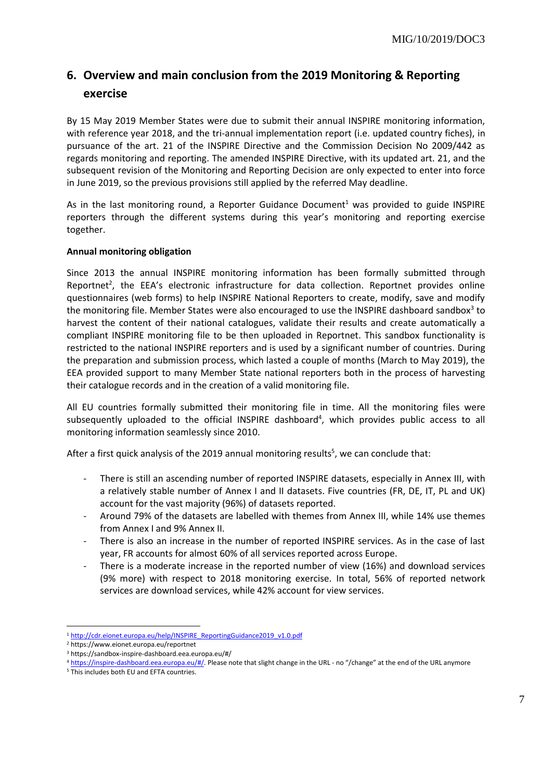# <span id="page-6-0"></span>**6. Overview and main conclusion from the 2019 Monitoring & Reporting exercise**

By 15 May 2019 Member States were due to submit their annual INSPIRE monitoring information, with reference year 2018, and the tri-annual implementation report (i.e. updated country fiches), in pursuance of the art. 21 of the INSPIRE Directive and the Commission Decision No 2009/442 as regards monitoring and reporting. The amended INSPIRE Directive, with its updated art. 21, and the subsequent revision of the Monitoring and Reporting Decision are only expected to enter into force in June 2019, so the previous provisions still applied by the referred May deadline.

As in the last monitoring round, a Reporter Guidance Document<sup>1</sup> was provided to guide INSPIRE reporters through the different systems during this year's monitoring and reporting exercise together.

#### **Annual monitoring obligation**

Since 2013 the annual INSPIRE monitoring information has been formally submitted through Reportnet<sup>2</sup>, the EEA's electronic infrastructure for data collection. Reportnet provides online questionnaires (web forms) to help INSPIRE National Reporters to create, modify, save and modify the monitoring file. Member States were also encouraged to use the INSPIRE dashboard sandbox<sup>3</sup> to harvest the content of their national catalogues, validate their results and create automatically a compliant INSPIRE monitoring file to be then uploaded in Reportnet. This sandbox functionality is restricted to the national INSPIRE reporters and is used by a significant number of countries. During the preparation and submission process, which lasted a couple of months (March to May 2019), the EEA provided support to many Member State national reporters both in the process of harvesting their catalogue records and in the creation of a valid monitoring file.

All EU countries formally submitted their monitoring file in time. All the monitoring files were subsequently uploaded to the official INSPIRE dashboard<sup>4</sup>, which provides public access to all monitoring information seamlessly since 2010.

After a first quick analysis of the 2019 annual monitoring results<sup>5</sup>, we can conclude that:

- There is still an ascending number of reported INSPIRE datasets, especially in Annex III, with a relatively stable number of Annex I and II datasets. Five countries (FR, DE, IT, PL and UK) account for the vast majority (96%) of datasets reported.
- Around 79% of the datasets are labelled with themes from Annex III, while 14% use themes from Annex I and 9% Annex II.
- There is also an increase in the number of reported INSPIRE services. As in the case of last year, FR accounts for almost 60% of all services reported across Europe.
- There is a moderate increase in the reported number of view (16%) and download services (9% more) with respect to 2018 monitoring exercise. In total, 56% of reported network services are download services, while 42% account for view services.

**<sup>.</sup>** <sup>1</sup> [http://cdr.eionet.europa.eu/help/INSPIRE\\_ReportingGuidance2019\\_v1.0.pdf](http://cdr.eionet.europa.eu/help/INSPIRE_ReportingGuidance2019_v1.0.pdf)

<sup>2</sup> https://www.eionet.europa.eu/reportnet

<sup>3</sup> https://sandbox-inspire-dashboard.eea.europa.eu/#/

<sup>&</sup>lt;sup>4</sup> [https://inspire-dashboard.eea.europa.eu/#/.](https://inspire-dashboard.eea.europa.eu/#/) Please note that slight change in the URL - no "/change" at the end of the URL anymore

<sup>5</sup> This includes both EU and EFTA countries.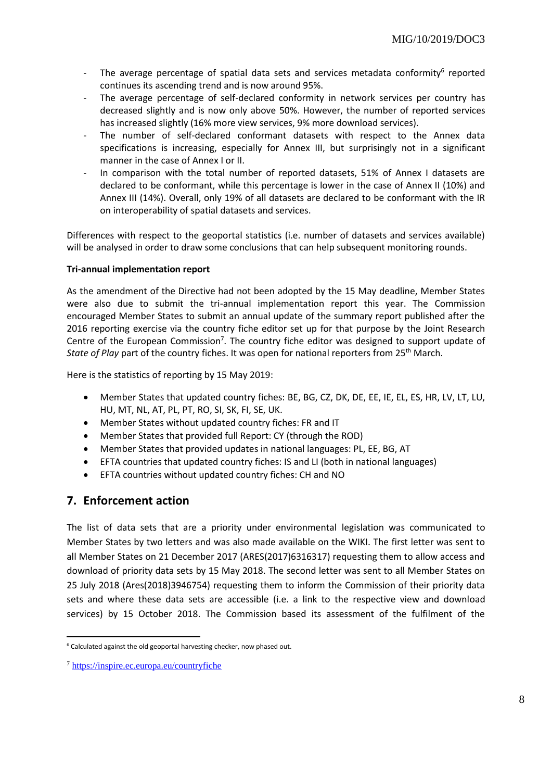- The average percentage of spatial data sets and services metadata conformity<sup>6</sup> reported continues its ascending trend and is now around 95%.
- The average percentage of self-declared conformity in network services per country has decreased slightly and is now only above 50%. However, the number of reported services has increased slightly (16% more view services, 9% more download services).
- The number of self-declared conformant datasets with respect to the Annex data specifications is increasing, especially for Annex III, but surprisingly not in a significant manner in the case of Annex I or II.
- In comparison with the total number of reported datasets, 51% of Annex I datasets are declared to be conformant, while this percentage is lower in the case of Annex II (10%) and Annex III (14%). Overall, only 19% of all datasets are declared to be conformant with the IR on interoperability of spatial datasets and services.

Differences with respect to the geoportal statistics (i.e. number of datasets and services available) will be analysed in order to draw some conclusions that can help subsequent monitoring rounds.

#### **Tri-annual implementation report**

As the amendment of the Directive had not been adopted by the 15 May deadline, Member States were also due to submit the tri-annual implementation report this year. The Commission encouraged Member States to submit an annual update of the summary report published after the 2016 reporting exercise via the country fiche editor set up for that purpose by the Joint Research Centre of the European Commission<sup>7</sup>. The country fiche editor was designed to support update of *State of Play* part of the country fiches. It was open for national reporters from 25th March.

Here is the statistics of reporting by 15 May 2019:

- Member States that updated country fiches: BE, BG, CZ, DK, DE, EE, IE, EL, ES, HR, LV, LT, LU, HU, MT, NL, AT, PL, PT, RO, SI, SK, FI, SE, UK.
- Member States without updated country fiches: FR and IT
- Member States that provided full Report: CY (through the ROD)
- Member States that provided updates in national languages: PL, EE, BG, AT
- EFTA countries that updated country fiches: IS and LI (both in national languages)
- EFTA countries without updated country fiches: CH and NO

## <span id="page-7-0"></span>**7. Enforcement action**

The list of data sets that are a priority under environmental legislation was communicated to Member States by two letters and was also made available on the WIKI. The first letter was sent to all Member States on 21 December 2017 (ARES(2017)6316317) requesting them to allow access and download of priority data sets by 15 May 2018. The second letter was sent to all Member States on 25 July 2018 (Ares(2018)3946754) requesting them to inform the Commission of their priority data sets and where these data sets are accessible (i.e. a link to the respective view and download services) by 15 October 2018. The Commission based its assessment of the fulfilment of the

1

<sup>&</sup>lt;sup>6</sup> Calculated against the old geoportal harvesting checker, now phased out.

<sup>7</sup> <https://inspire.ec.europa.eu/countryfiche>